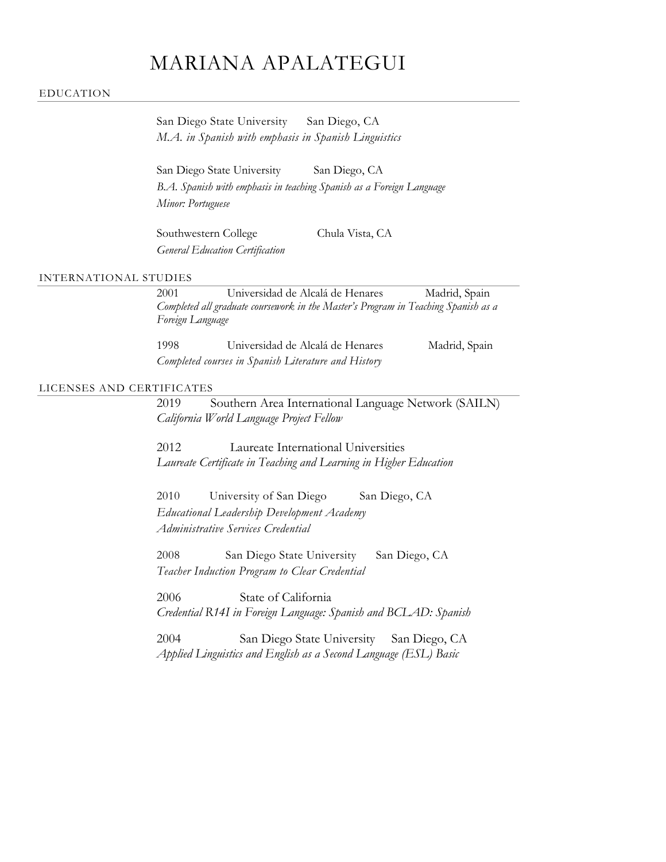# MARIANA APALATEGUI

#### EDUCATION

| San Diego State University                           |  | San Diego, CA |  |
|------------------------------------------------------|--|---------------|--|
| M.A. in Spanish with emphasis in Spanish Linguistics |  |               |  |

San Diego State University San Diego, CA *B.A. Spanish with emphasis in teaching Spanish as a Foreign Language Minor: Portuguese*

Southwestern College Chula Vista, CA *General Education Certification*

## INTERNATIONAL STUDIES

2001 Universidad de Alcalá de Henares Madrid, Spain *Completed all graduate coursework in the Master's Program in Teaching Spanish as a Foreign Language* 1998 Universidad de Alcalá de Henares Madrid, Spain

| 1998 | Universidad de Alcala de Henares                    |  | Madrid, Spain |
|------|-----------------------------------------------------|--|---------------|
|      | Completed courses in Spanish Literature and History |  |               |

## LICENSES AND CERTIFICATES

2019 Southern Area International Language Network (SAILN) *California World Language Project Fellow*

2012 Laureate International Universities *Laureate Certificate in Teaching and Learning in Higher Education*

2010 University of San Diego San Diego, CA *Educational Leadership Development Academy Administrative Services Credential*

2008 San Diego State University San Diego, CA *Teacher Induction Program to Clear Credential*

2006 State of California *Credential R14I in Foreign Language: Spanish and BCLAD: Spanish*

2004 San Diego State University San Diego, CA *Applied Linguistics and English as a Second Language (ESL) Basic*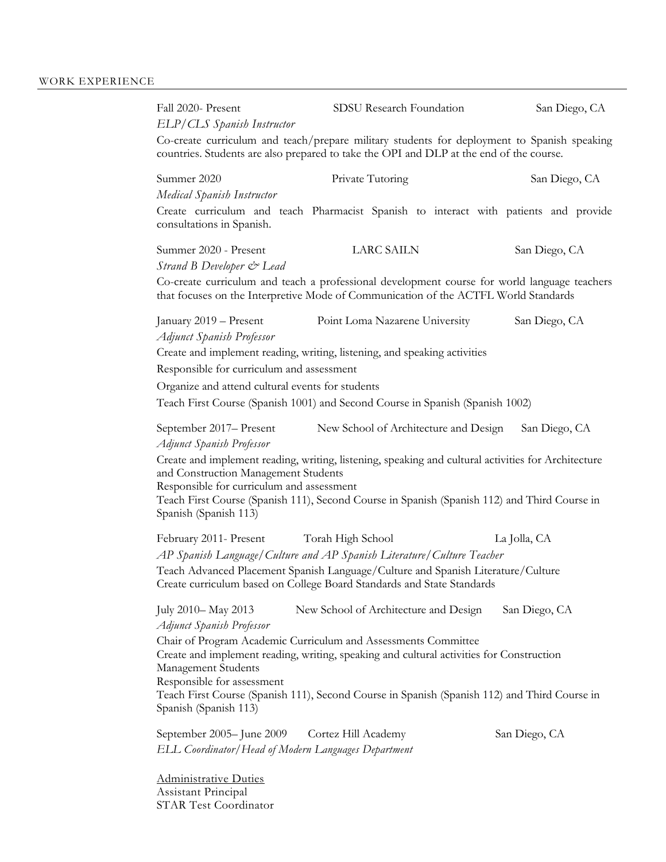Fall 2020- Present SDSU Research Foundation San Diego, CA *ELP/CLS Spanish Instructor* Co-create curriculum and teach/prepare military students for deployment to Spanish speaking countries. Students are also prepared to take the OPI and DLP at the end of the course. Summer 2020 Private Tutoring San Diego, CA *Medical Spanish Instructor* Create curriculum and teach Pharmacist Spanish to interact with patients and provide consultations in Spanish. Summer 2020 - Present LARC SAILN San Diego, CA *Strand B Developer & Lead* Co-create curriculum and teach a professional development course for world language teachers that focuses on the Interpretive Mode of Communication of the ACTFL World Standards January 2019 – Present Point Loma Nazarene University San Diego, CA *Adjunct Spanish Professor* Create and implement reading, writing, listening, and speaking activities Responsible for curriculum and assessment Organize and attend cultural events for students Teach First Course (Spanish 1001) and Second Course in Spanish (Spanish 1002) September 2017– Present New School of Architecture and Design San Diego, CA *Adjunct Spanish Professor* Create and implement reading, writing, listening, speaking and cultural activities for Architecture and Construction Management Students Responsible for curriculum and assessment Teach First Course (Spanish 111), Second Course in Spanish (Spanish 112) and Third Course in Spanish (Spanish 113) February 2011- Present Torah High School La Jolla, CA *AP Spanish Language/Culture and AP Spanish Literature/Culture Teacher* Teach Advanced Placement Spanish Language/Culture and Spanish Literature/Culture Create curriculum based on College Board Standards and State Standards July 2010– May 2013 New School of Architecture and Design San Diego, CA *Adjunct Spanish Professor* Chair of Program Academic Curriculum and Assessments Committee Create and implement reading, writing, speaking and cultural activities for Construction Management Students Responsible for assessment Teach First Course (Spanish 111), Second Course in Spanish (Spanish 112) and Third Course in Spanish (Spanish 113) September 2005– June 2009 Cortez Hill Academy San Diego, CA *ELL Coordinator/Head of Modern Languages Department*

Administrative Duties Assistant Principal STAR Test Coordinator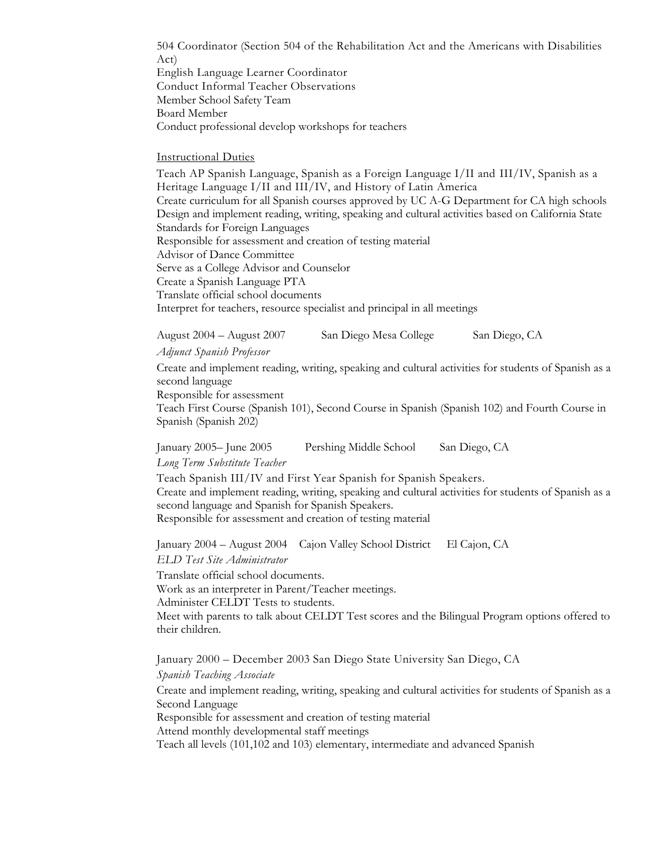504 Coordinator (Section 504 of the Rehabilitation Act and the Americans with Disabilities Act)

English Language Learner Coordinator Conduct Informal Teacher Observations Member School Safety Team Board Member Conduct professional develop workshops for teachers

## Instructional Duties

Teach AP Spanish Language, Spanish as a Foreign Language I/II and III/IV, Spanish as a Heritage Language I/II and III/IV, and History of Latin America Create curriculum for all Spanish courses approved by UC A-G Department for CA high schools Design and implement reading, writing, speaking and cultural activities based on California State Standards for Foreign Languages Responsible for assessment and creation of testing material Advisor of Dance Committee Serve as a College Advisor and Counselor Create a Spanish Language PTA Translate official school documents Interpret for teachers, resource specialist and principal in all meetings

August 2004 – August 2007 San Diego Mesa College San Diego, CA

## *Adjunct Spanish Professor*

Create and implement reading, writing, speaking and cultural activities for students of Spanish as a second language

Responsible for assessment Teach First Course (Spanish 101), Second Course in Spanish (Spanish 102) and Fourth Course in Spanish (Spanish 202)

January 2005– June 2005 Pershing Middle School San Diego, CA

## *Long Term Substitute Teacher*

Teach Spanish III/IV and First Year Spanish for Spanish Speakers. Create and implement reading, writing, speaking and cultural activities for students of Spanish as a second language and Spanish for Spanish Speakers.

Responsible for assessment and creation of testing material

January 2004 – August 2004 Cajon Valley School District El Cajon, CA

*ELD Test Site Administrator*

Translate official school documents.

Work as an interpreter in Parent/Teacher meetings.

Administer CELDT Tests to students.

Meet with parents to talk about CELDT Test scores and the Bilingual Program options offered to their children.

January 2000 – December 2003 San Diego State University San Diego, CA

*Spanish Teaching Associate*

Create and implement reading, writing, speaking and cultural activities for students of Spanish as a Second Language

Responsible for assessment and creation of testing material

Attend monthly developmental staff meetings

Teach all levels (101,102 and 103) elementary, intermediate and advanced Spanish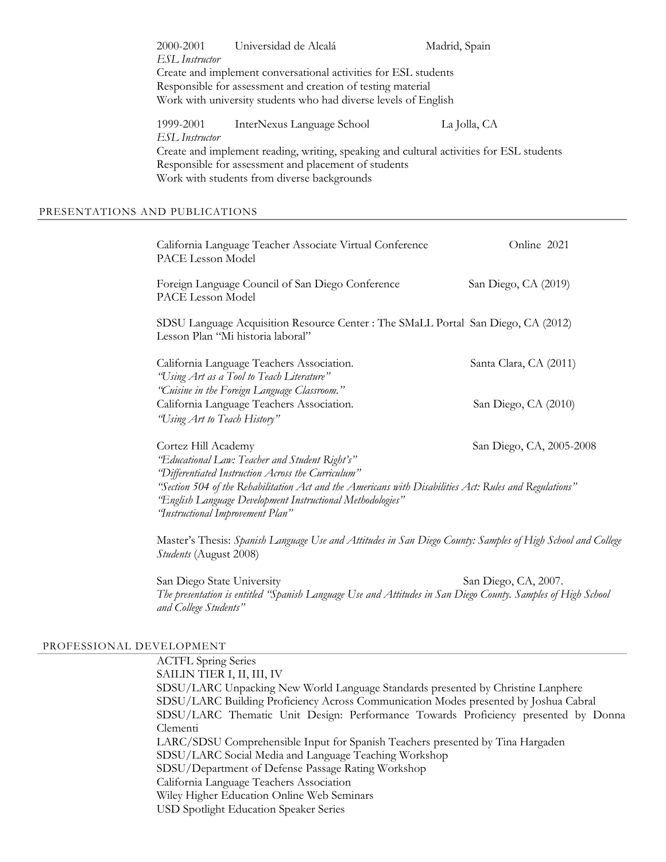2000-2001 Universidad de Alcalá Madrid, Spain *ESL Instructor* Create and implement conversational activities for ESL students Responsible for assessment and creation of testing material Work with university students who had diverse levels of English 1999-2001 InterNexus Language School La Jolla, CA *ESL Instructor* Create and implement reading, writing, speaking and cultural activities for ESL students Responsible for assessment and placement of students Work with students from diverse backgrounds

#### PRESENTATIONS AND PUBLICATIONS

| California Language Teacher Associate Virtual Conference<br>PACE Lesson Model                                                                                                                                                         | Online 2021              |
|---------------------------------------------------------------------------------------------------------------------------------------------------------------------------------------------------------------------------------------|--------------------------|
| Foreign Language Council of San Diego Conference<br>PACE Lesson Model                                                                                                                                                                 | San Diego, CA (2019)     |
| SDSU Language Acquisition Resource Center : The SMaLL Portal San Diego, CA (2012)<br>Lesson Plan "Mi historia laboral"                                                                                                                |                          |
| California Language Teachers Association.<br>"Using Art as a Tool to Teach Literature"                                                                                                                                                | Santa Clara, CA (2011)   |
| "Cuisine in the Foreign Language Classroom."<br>California Language Teachers Association.<br>"Using Art to Teach History"                                                                                                             | San Diego, CA (2010)     |
| Cortez Hill Academy<br>"Educational Law: Teacher and Student Right's"<br>"Differentiated Instruction Across the Curriculum"<br>"Section 504 of the Rehabilitation Act and the Americans with Disabilities Act: Rules and Regulations" | San Diego, CA, 2005-2008 |

*"English Language Development Instructional Methodologies" "Instructional Improvement Plan"*

Master's Thesis: *Spanish Language Use and Attitudes in San Diego County: Samples of High School and College Students* (August 2008)

San Diego State University San Diego, CA, 2007. *The presentation is entitled "Spanish Language Use and Attitudes in San Diego County. Samples of High School and College Students"*

## PROFESSIONAL DEVELOPMENT

ACTFL Spring Series SAILIN TIER I, II, III, IV SDSU/LARC Unpacking New World Language Standards presented by Christine Lanphere SDSU/LARC Building Proficiency Across Communication Modes presented by Joshua Cabral SDSU/LARC Thematic Unit Design: Performance Towards Proficiency presented by Donna Clementi LARC/SDSU Comprehensible Input for Spanish Teachers presented by Tina Hargaden SDSU/LARC Social Media and Language Teaching Workshop SDSU/Department of Defense Passage Rating Workshop California Language Teachers Association Wiley Higher Education Online Web Seminars USD Spotlight Education Speaker Series